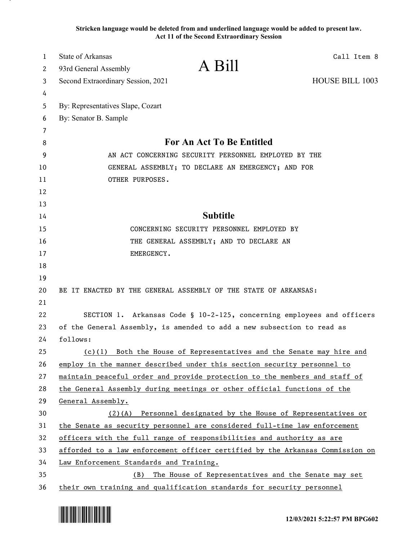**Stricken language would be deleted from and underlined language would be added to present law. Act 11 of the Second Extraordinary Session**

| 1  | State of Arkansas                                                             | Call Item 8 |
|----|-------------------------------------------------------------------------------|-------------|
| 2  | A Bill<br>93rd General Assembly                                               |             |
| 3  | <b>HOUSE BILL 1003</b><br>Second Extraordinary Session, 2021                  |             |
| 4  |                                                                               |             |
| 5  | By: Representatives Slape, Cozart                                             |             |
| 6  | By: Senator B. Sample                                                         |             |
| 7  |                                                                               |             |
| 8  | For An Act To Be Entitled                                                     |             |
| 9  | AN ACT CONCERNING SECURITY PERSONNEL EMPLOYED BY THE                          |             |
| 10 | GENERAL ASSEMBLY; TO DECLARE AN EMERGENCY; AND FOR                            |             |
| 11 | OTHER PURPOSES.                                                               |             |
| 12 |                                                                               |             |
| 13 |                                                                               |             |
| 14 | <b>Subtitle</b>                                                               |             |
| 15 | CONCERNING SECURITY PERSONNEL EMPLOYED BY                                     |             |
| 16 | THE GENERAL ASSEMBLY; AND TO DECLARE AN                                       |             |
| 17 | EMERGENCY.                                                                    |             |
| 18 |                                                                               |             |
| 19 |                                                                               |             |
| 20 | BE IT ENACTED BY THE GENERAL ASSEMBLY OF THE STATE OF ARKANSAS:               |             |
| 21 |                                                                               |             |
| 22 | SECTION 1. Arkansas Code § 10-2-125, concerning employees and officers        |             |
| 23 | of the General Assembly, is amended to add a new subsection to read as        |             |
| 24 | follows:                                                                      |             |
| 25 | (c)(1) Both the House of Representatives and the Senate may hire and          |             |
| 26 | employ in the manner described under this section security personnel to       |             |
| 27 | maintain peaceful order and provide protection to the members and staff of    |             |
| 28 | the General Assembly during meetings or other official functions of the       |             |
| 29 | General Assembly.                                                             |             |
| 30 | $(2)$ (A) Personnel designated by the House of Representatives or             |             |
| 31 | the Senate as security personnel are considered full-time law enforcement     |             |
| 32 | officers with the full range of responsibilities and authority as are         |             |
| 33 | afforded to a law enforcement officer certified by the Arkansas Commission on |             |
| 34 | Law Enforcement Standards and Training.                                       |             |
| 35 | The House of Representatives and the Senate may set<br>(B)                    |             |
| 36 | their own training and qualification standards for security personnel         |             |